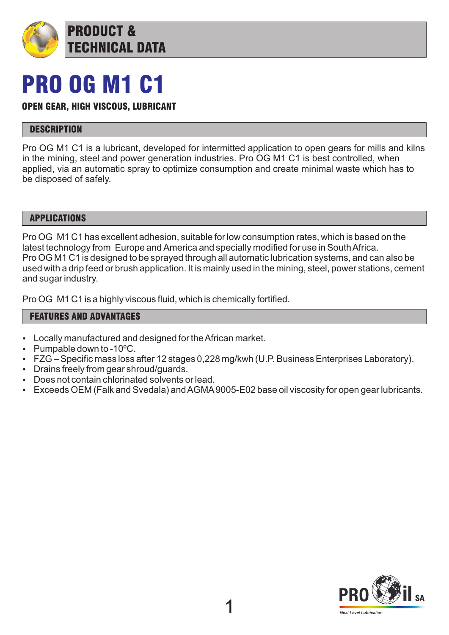

## PRO OG M1 C1

## OPEN GEAR, HIGH VISCOUS, LUBRICANT

## **DESCRIPTION**

Pro OG M1 C1 is a lubricant, developed for intermitted application to open gears for mills and kilns in the mining, steel and power generation industries. Pro OG M1 C1 is best controlled, when applied, via an automatic spray to optimize consumption and create minimal waste which has to be disposed of safely.

#### APPLICATIONS

Pro OG M1 C1 has excellent adhesion, suitable for low consumption rates, which is based on the latest technology from Europe and America and specially modified for use in South Africa. Pro OG M1 C1 is designed to be sprayed through all automatic lubrication systems, and can also be used with a drip feed or brush application. It is mainly used in the mining, steel, power stations, cement and sugar industry.

Pro OG M1 C1 is a highly viscous fluid, which is chemically fortified.

## FEATURES AND ADVANTAGES

- Locally manufactured and designed for the African market.
- Pumpable down to  $-10^{\circ}$ C.
- FZG Specific mass loss after 12 stages 0,228 mg/kwh (U.P. Business Enterprises Laboratory).
- Drains freely from gear shroud/guards.
- Does not contain chlorinated solvents or lead.
- Exceeds OEM (Falk and Svedala) and AGMA9005-E02 base oil viscosity for open gear lubricants.